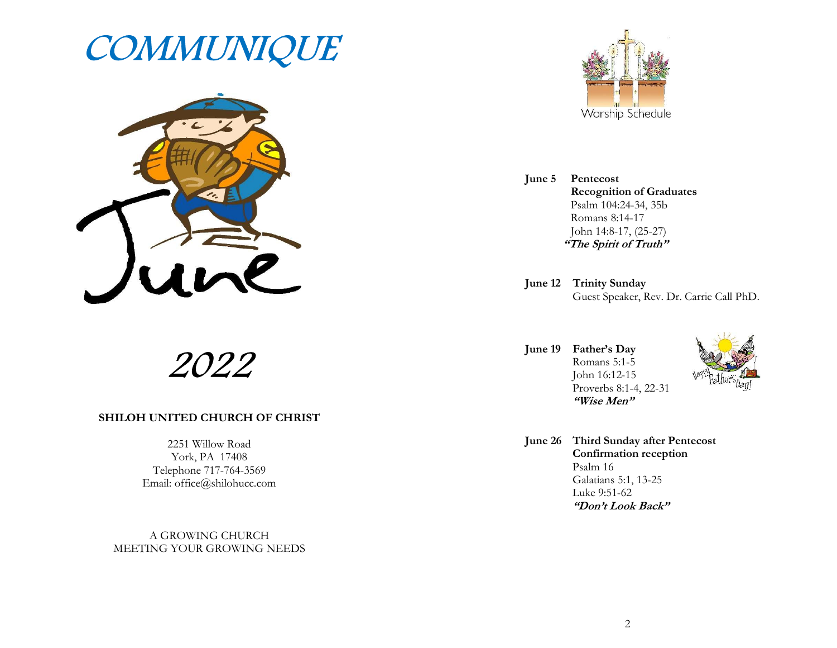



<sup>2022</sup>

#### SHILOH UNITED CHURCH OF CHRIST

2251 Willow Road York, PA 17408 Telephone 717-764-3569 Email: office@shilohucc.com

A GROWING CHURCH MEETING YOUR GROWING NEEDS



 June 5 Pentecost Recognition of Graduates Psalm 104:24-34, 35b Romans 8:14-17 John 14:8-17, (25-27) "The Spirit of Truth"

 June 12 Trinity Sunday Guest Speaker, Rev. Dr. Carrie Call PhD.

 June 19 Father's Day Romans 5:1-5 John 16:12-15 Proverbs 8:1-4, 22-31 "Wise Men"



 June 26 Third Sunday after Pentecost Confirmation reception Psalm 16 Galatians 5:1, 13-25 Luke 9:51-62 "Don't Look Back"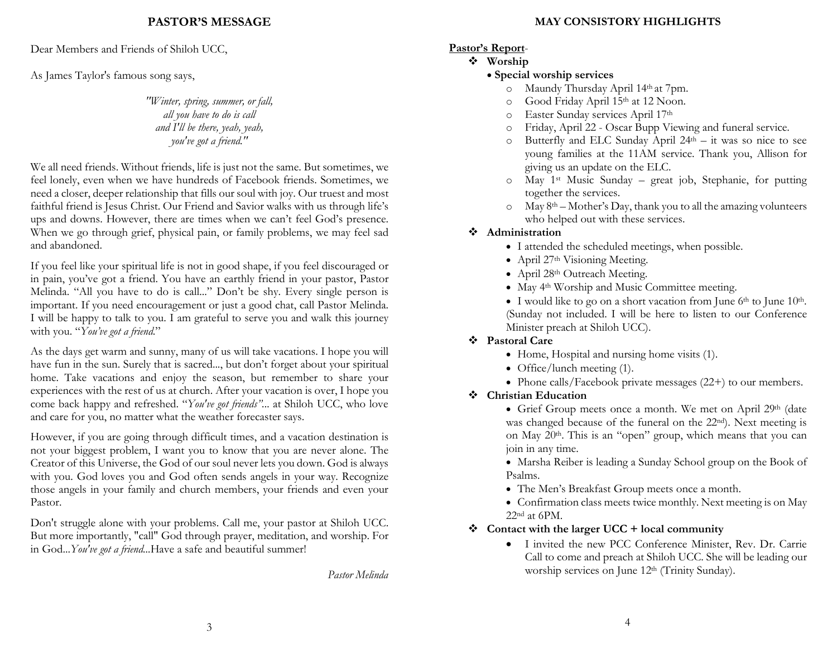#### PASTOR'S MESSAGE

Dear Members and Friends of Shiloh UCC,

As James Taylor's famous song says,

"Winter, spring, summer, or fall, all you have to do is call and I'll be there, yeah, yeah, you've got a friend."

We all need friends. Without friends, life is just not the same. But sometimes, we feel lonely, even when we have hundreds of Facebook friends. Sometimes, we need a closer, deeper relationship that fills our soul with joy. Our truest and most faithful friend is Jesus Christ. Our Friend and Savior walks with us through life's ups and downs. However, there are times when we can't feel God's presence. When we go through grief, physical pain, or family problems, we may feel sad and abandoned.

If you feel like your spiritual life is not in good shape, if you feel discouraged or in pain, you've got a friend. You have an earthly friend in your pastor, Pastor Melinda. "All you have to do is call..." Don't be shy. Every single person is important. If you need encouragement or just a good chat, call Pastor Melinda. I will be happy to talk to you. I am grateful to serve you and walk this journey with you. "You've got a friend."

As the days get warm and sunny, many of us will take vacations. I hope you will have fun in the sun. Surely that is sacred..., but don't forget about your spiritual home. Take vacations and enjoy the season, but remember to share your experiences with the rest of us at church. After your vacation is over, I hope you come back happy and refreshed. "You've got friends"... at Shiloh UCC, who love and care for you, no matter what the weather forecaster says.

However, if you are going through difficult times, and a vacation destination is not your biggest problem, I want you to know that you are never alone. The Creator of this Universe, the God of our soul never lets you down. God is always with you. God loves you and God often sends angels in your way. Recognize those angels in your family and church members, your friends and even your Pastor.

Don't struggle alone with your problems. Call me, your pastor at Shiloh UCC. But more importantly, "call" God through prayer, meditation, and worship. For in God...You've got a friend...Have a safe and beautiful summer!

Pastor Melinda

# MAY CONSISTORY HIGHLIGHTS

# Pastor's Report-

Worship

# Special worship services

- o Maundy Thursday April 14th at 7pm.
- o Good Friday April 15th at 12 Noon.
- o Easter Sunday services April 17th
- o Friday, April 22 Oscar Bupp Viewing and funeral service.
- o Butterfly and ELC Sunday April 24th it was so nice to see young families at the 11AM service. Thank you, Allison for giving us an update on the ELC.
- o May 1st Music Sunday great job, Stephanie, for putting together the services.
- o May 8th Mother's Day, thank you to all the amazing volunteers who helped out with these services.

# Administration

- I attended the scheduled meetings, when possible.
- April 27<sup>th</sup> Visioning Meeting.
- April 28th Outreach Meeting.
- May 4<sup>th</sup> Worship and Music Committee meeting.
- $\bullet$  I would like to go on a short vacation from June 6<sup>th</sup> to June 10<sup>th</sup>. (Sunday not included. I will be here to listen to our Conference Minister preach at Shiloh UCC).

# Pastoral Care

- Home, Hospital and nursing home visits (1).
- Office/lunch meeting (1).
- Phone calls/Facebook private messages (22+) to our members.

# Christian Education

 Grief Group meets once a month. We met on April 29th (date was changed because of the funeral on the 22nd). Next meeting is on May 20th. This is an "open" group, which means that you can join in any time.

 Marsha Reiber is leading a Sunday School group on the Book of Psalms.

- The Men's Breakfast Group meets once a month.
- Confirmation class meets twice monthly. Next meeting is on May 22nd at 6PM.

# $\div$  Contact with the larger UCC + local community

 I invited the new PCC Conference Minister, Rev. Dr. Carrie Call to come and preach at Shiloh UCC. She will be leading our worship services on June 12<sup>th</sup> (Trinity Sunday).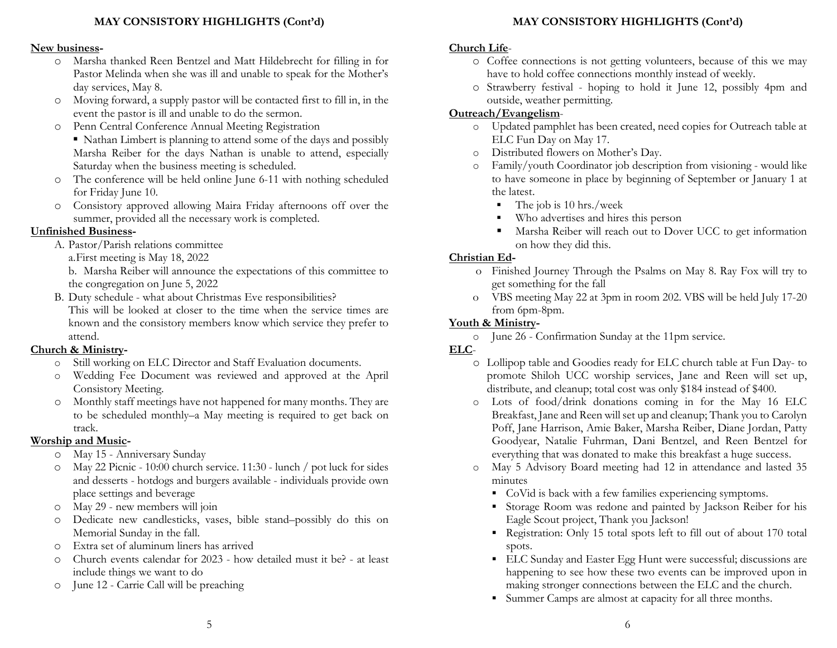## MAY CONSISTORY HIGHLIGHTS (Cont'd)

#### New business-

- o Marsha thanked Reen Bentzel and Matt Hildebrecht for filling in for Pastor Melinda when she was ill and unable to speak for the Mother's day services, May 8.
- o Moving forward, a supply pastor will be contacted first to fill in, in the event the pastor is ill and unable to do the sermon.
- o Penn Central Conference Annual Meeting Registration

• Nathan Limbert is planning to attend some of the days and possibly Marsha Reiber for the days Nathan is unable to attend, especially Saturday when the business meeting is scheduled.

- o The conference will be held online June 6-11 with nothing scheduled for Friday June 10.
- o Consistory approved allowing Maira Friday afternoons off over the summer, provided all the necessary work is completed.

#### Unfinished Business-

- A. Pastor/Parish relations committee
	- a.First meeting is May 18, 2022

b. Marsha Reiber will announce the expectations of this committee to the congregation on June 5, 2022

B. Duty schedule - what about Christmas Eve responsibilities? This will be looked at closer to the time when the service times are known and the consistory members know which service they prefer to attend.

#### Church & Ministry-

- o Still working on ELC Director and Staff Evaluation documents.
- o Wedding Fee Document was reviewed and approved at the April Consistory Meeting.
- o Monthly staff meetings have not happened for many months. They are to be scheduled monthly–a May meeting is required to get back on track.

#### Worship and Music-

- o May 15 Anniversary Sunday
- o May 22 Picnic 10:00 church service. 11:30 lunch / pot luck for sides and desserts - hotdogs and burgers available - individuals provide own place settings and beverage
- o May 29 new members will join
- o Dedicate new candlesticks, vases, bible stand–possibly do this on Memorial Sunday in the fall.
- o Extra set of aluminum liners has arrived
- o Church events calendar for 2023 how detailed must it be? at least include things we want to do
- o June 12 Carrie Call will be preaching

### MAY CONSISTORY HIGHLIGHTS (Cont'd)

#### Church Life-

- o Coffee connections is not getting volunteers, because of this we may have to hold coffee connections monthly instead of weekly.
- o Strawberry festival hoping to hold it June 12, possibly 4pm and outside, weather permitting.

### Outreach/Evangelism-

- o Updated pamphlet has been created, need copies for Outreach table at ELC Fun Day on May 17.
- o Distributed flowers on Mother's Day.
- o Family/youth Coordinator job description from visioning would like to have someone in place by beginning of September or January 1 at the latest.
	- $\blacksquare$  The job is 10 hrs./week
	- Who advertises and hires this person
	- Marsha Reiber will reach out to Dover UCC to get information on how they did this.

#### Christian Ed-

- o Finished Journey Through the Psalms on May 8. Ray Fox will try to get something for the fall
- o VBS meeting May 22 at 3pm in room 202. VBS will be held July 17-20 from 6pm-8pm.

### Youth & Ministry-

o June 26 - Confirmation Sunday at the 11pm service.

#### ELC-

- o Lollipop table and Goodies ready for ELC church table at Fun Day- to promote Shiloh UCC worship services, Jane and Reen will set up, distribute, and cleanup; total cost was only \$184 instead of \$400.
- o Lots of food/drink donations coming in for the May 16 ELC Breakfast, Jane and Reen will set up and cleanup; Thank you to Carolyn Poff, Jane Harrison, Amie Baker, Marsha Reiber, Diane Jordan, Patty Goodyear, Natalie Fuhrman, Dani Bentzel, and Reen Bentzel for everything that was donated to make this breakfast a huge success.
- o May 5 Advisory Board meeting had 12 in attendance and lasted 35 minutes
	- CoVid is back with a few families experiencing symptoms.
	- Storage Room was redone and painted by Jackson Reiber for his Eagle Scout project, Thank you Jackson!
	- Registration: Only 15 total spots left to fill out of about 170 total spots.
	- ELC Sunday and Easter Egg Hunt were successful; discussions are happening to see how these two events can be improved upon in making stronger connections between the ELC and the church.
	- Summer Camps are almost at capacity for all three months.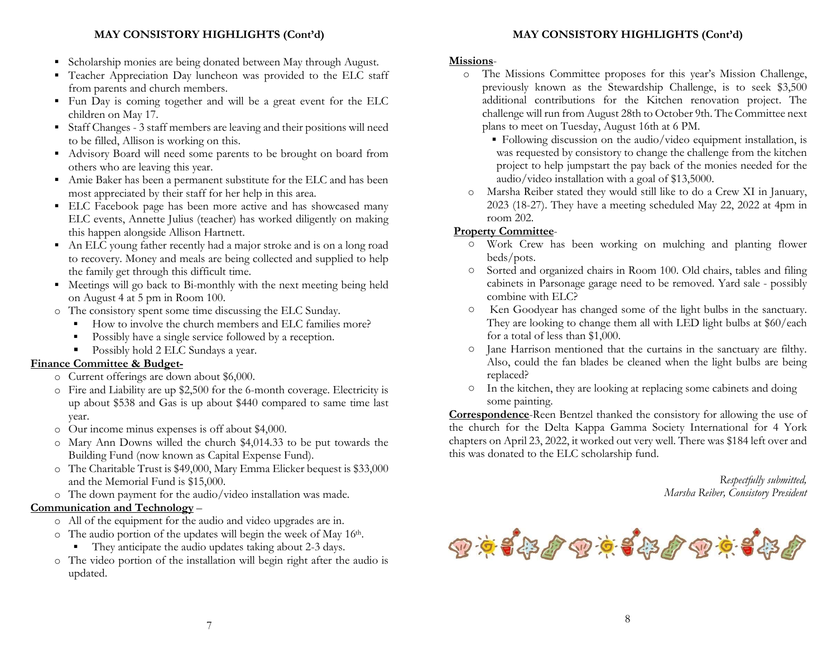## MAY CONSISTORY HIGHLIGHTS (Cont'd)

MAY CONSISTORY HIGHLIGHTS (Cont'd)

- Scholarship monies are being donated between May through August.
- Teacher Appreciation Day luncheon was provided to the ELC staff from parents and church members.
- Fun Day is coming together and will be a great event for the ELC children on May 17.
- Staff Changes 3 staff members are leaving and their positions will need to be filled, Allison is working on this.
- Advisory Board will need some parents to be brought on board from others who are leaving this year.
- Amie Baker has been a permanent substitute for the ELC and has been most appreciated by their staff for her help in this area.
- ELC Facebook page has been more active and has showcased many ELC events, Annette Julius (teacher) has worked diligently on making this happen alongside Allison Hartnett.
- An ELC young father recently had a major stroke and is on a long road to recovery. Money and meals are being collected and supplied to help the family get through this difficult time.
- Meetings will go back to Bi-monthly with the next meeting being held on August 4 at 5 pm in Room 100.
- o The consistory spent some time discussing the ELC Sunday.
	- How to involve the church members and ELC families more?
	- Possibly have a single service followed by a reception.
	- Possibly hold 2 ELC Sundays a year.

#### Finance Committee & Budget-

- o Current offerings are down about \$6,000.
- o Fire and Liability are up \$2,500 for the 6-month coverage. Electricity is up about \$538 and Gas is up about \$440 compared to same time last year.
- o Our income minus expenses is off about \$4,000.
- o Mary Ann Downs willed the church \$4,014.33 to be put towards the Building Fund (now known as Capital Expense Fund).
- o The Charitable Trust is \$49,000, Mary Emma Elicker bequest is \$33,000 and the Memorial Fund is \$15,000.
- o The down payment for the audio/video installation was made.

#### Communication and Technology –

- o All of the equipment for the audio and video upgrades are in.
- o The audio portion of the updates will begin the week of May 16th.
	- They anticipate the audio updates taking about 2-3 days.
- o The video portion of the installation will begin right after the audio is updated.

#### Missions-

- o The Missions Committee proposes for this year's Mission Challenge, previously known as the Stewardship Challenge, is to seek \$3,500 additional contributions for the Kitchen renovation project. The challenge will run from August 28th to October 9th. The Committee next plans to meet on Tuesday, August 16th at 6 PM.
	- Following discussion on the audio/video equipment installation, is was requested by consistory to change the challenge from the kitchen project to help jumpstart the pay back of the monies needed for the audio/video installation with a goal of \$13,5000.
- o Marsha Reiber stated they would still like to do a Crew XI in January, 2023 (18-27). They have a meeting scheduled May 22, 2022 at 4pm in room 202.

### Property Committee-

- Work Crew has been working on mulching and planting flower beds/pots.
- Sorted and organized chairs in Room 100. Old chairs, tables and filing cabinets in Parsonage garage need to be removed. Yard sale - possibly combine with ELC?
- Ken Goodyear has changed some of the light bulbs in the sanctuary. They are looking to change them all with LED light bulbs at \$60/each for a total of less than \$1,000.
- Jane Harrison mentioned that the curtains in the sanctuary are filthy. Also, could the fan blades be cleaned when the light bulbs are being replaced?
- In the kitchen, they are looking at replacing some cabinets and doing some painting.

Correspondence-Reen Bentzel thanked the consistory for allowing the use of the church for the Delta Kappa Gamma Society International for 4 York chapters on April 23, 2022, it worked out very well. There was \$184 left over and this was donated to the ELC scholarship fund.

> Respectfully submitted, Marsha Reiber, Consistory President

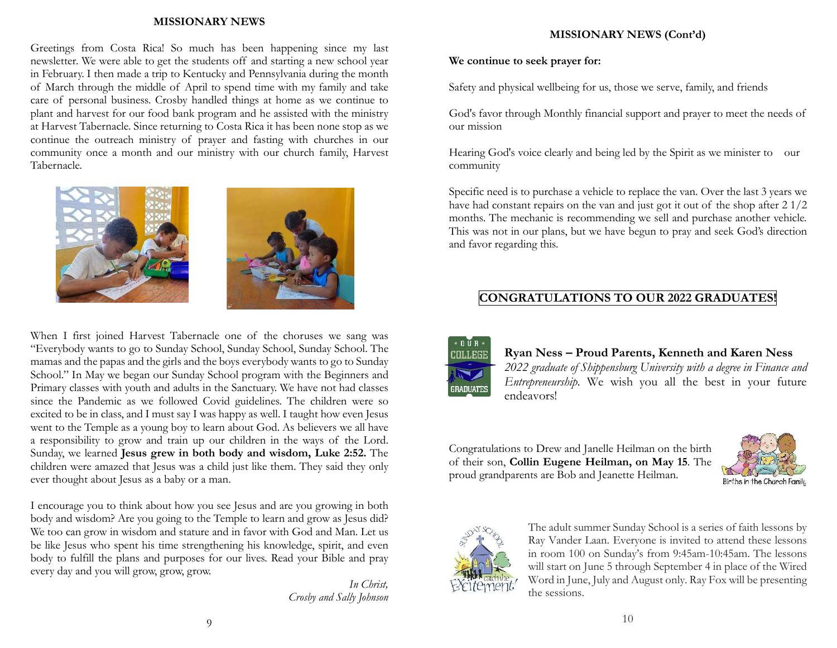#### MISSIONARY NEWS

Greetings from Costa Rica! So much has been happening since my last newsletter. We were able to get the students off and starting a new school year in February. I then made a trip to Kentucky and Pennsylvania during the month of March through the middle of April to spend time with my family and take care of personal business. Crosby handled things at home as we continue to plant and harvest for our food bank program and he assisted with the ministry at Harvest Tabernacle. Since returning to Costa Rica it has been none stop as we continue the outreach ministry of prayer and fasting with churches in our community once a month and our ministry with our church family, Harvest Tabernacle.



When I first joined Harvest Tabernacle one of the choruses we sang was "Everybody wants to go to Sunday School, Sunday School, Sunday School. The mamas and the papas and the girls and the boys everybody wants to go to Sunday School." In May we began our Sunday School program with the Beginners and Primary classes with youth and adults in the Sanctuary. We have not had classes since the Pandemic as we followed Covid guidelines. The children were so excited to be in class, and I must say I was happy as well. I taught how even Jesus went to the Temple as a young boy to learn about God. As believers we all have a responsibility to grow and train up our children in the ways of the Lord. Sunday, we learned Jesus grew in both body and wisdom, Luke 2:52. The children were amazed that Jesus was a child just like them. They said they only ever thought about Jesus as a baby or a man.

I encourage you to think about how you see Jesus and are you growing in both body and wisdom? Are you going to the Temple to learn and grow as Jesus did? We too can grow in wisdom and stature and in favor with God and Man. Let us be like Jesus who spent his time strengthening his knowledge, spirit, and even body to fulfill the plans and purposes for our lives. Read your Bible and pray every day and you will grow, grow, grow.

> In Christ, Crosby and Sally Johnson

#### MISSIONARY NEWS (Cont'd)

#### We continue to seek prayer for:

Safety and physical wellbeing for us, those we serve, family, and friends

God's favor through Monthly financial support and prayer to meet the needs of our mission

Hearing God's voice clearly and being led by the Spirit as we minister to our community

Specific need is to purchase a vehicle to replace the van. Over the last 3 years we have had constant repairs on the van and just got it out of the shop after 2 1/2 months. The mechanic is recommending we sell and purchase another vehicle. This was not in our plans, but we have begun to pray and seek God's direction and favor regarding this.

# CONGRATULATIONS TO OUR 2022 GRADUATES!



#### Ryan Ness – Proud Parents, Kenneth and Karen Ness

2022 graduate of Shippensburg University with a degree in Finance and Entrepreneurship. We wish you all the best in your future endeavors!

Congratulations to Drew and Janelle Heilman on the birth of their son, Collin Eugene Heilman, on May 15. The proud grandparents are Bob and Jeanette Heilman.

| Births in the Charch Family |
|-----------------------------|



The adult summer Sunday School is a series of faith lessons by Ray Vander Laan. Everyone is invited to attend these lessons in room 100 on Sunday's from 9:45am-10:45am. The lessons will start on June 5 through September 4 in place of the Wired Word in June, July and August only. Ray Fox will be presenting the sessions.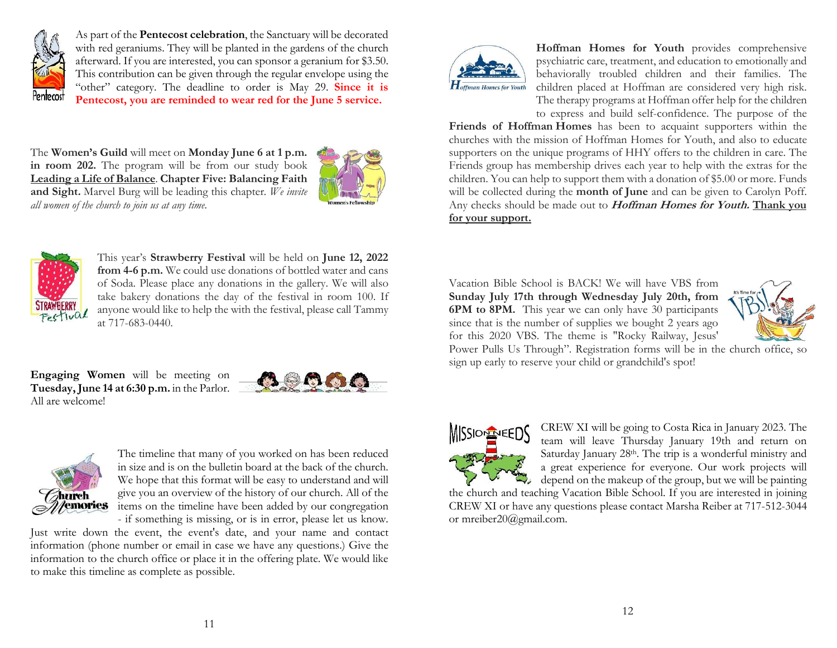

As part of the Pentecost celebration, the Sanctuary will be decorated with red geraniums. They will be planted in the gardens of the church afterward. If you are interested, you can sponsor a geranium for \$3.50. This contribution can be given through the regular envelope using the "other" category. The deadline to order is May 29. Since it is Pentecost, you are reminded to wear red for the June 5 service.

The Women's Guild will meet on Monday June 6 at 1 p.m. in room 202. The program will be from our study book Leading a Life of Balance. Chapter Five: Balancing Faith and Sight. Marvel Burg will be leading this chapter. We invite all women of the church to join us at any time.





This year's Strawberry Festival will be held on June 12, 2022 from 4-6 p.m. We could use donations of bottled water and cans of Soda. Please place any donations in the gallery. We will also take bakery donations the day of the festival in room 100. If anyone would like to help the with the festival, please call Tammy at 717-683-0440.

Engaging Women will be meeting on Tuesday, June 14 at 6:30 p.m. in the Parlor. All are welcome!





The timeline that many of you worked on has been reduced in size and is on the bulletin board at the back of the church. We hope that this format will be easy to understand and will give you an overview of the history of our church. All of the items on the timeline have been added by our congregation - if something is missing, or is in error, please let us know.

Just write down the event, the event's date, and your name and contact information (phone number or email in case we have any questions.) Give the information to the church office or place it in the offering plate. We would like to make this timeline as complete as possible.



Hoffman Homes for Youth provides comprehensive psychiatric care, treatment, and education to emotionally and behaviorally troubled children and their families. The children placed at Hoffman are considered very high risk. The therapy programs at Hoffman offer help for the children

to express and build self-confidence. The purpose of the

Friends of Hoffman Homes has been to acquaint supporters within the churches with the mission of Hoffman Homes for Youth, and also to educate supporters on the unique programs of HHY offers to the children in care. The Friends group has membership drives each year to help with the extras for the children. You can help to support them with a donation of \$5.00 or more. Funds will be collected during the **month of June** and can be given to Carolyn Poff. Any checks should be made out to *Hoffman Homes for Youth*. Thank you for your support.

Vacation Bible School is BACK! We will have VBS from Sunday July 17th through Wednesday July 20th, from 6PM to 8PM. This year we can only have 30 participants since that is the number of supplies we bought 2 years ago for this 2020 VBS. The theme is "Rocky Railway, Jesus'



Power Pulls Us Through". Registration forms will be in the church office, so sign up early to reserve your child or grandchild's spot!



CREW XI will be going to Costa Rica in January 2023. The team will leave Thursday January 19th and return on Saturday January 28<sup>th</sup>. The trip is a wonderful ministry and a great experience for everyone. Our work projects will depend on the makeup of the group, but we will be painting

the church and teaching Vacation Bible School. If you are interested in joining CREW XI or have any questions please contact Marsha Reiber at 717-512-3044 or mreiber20@gmail.com.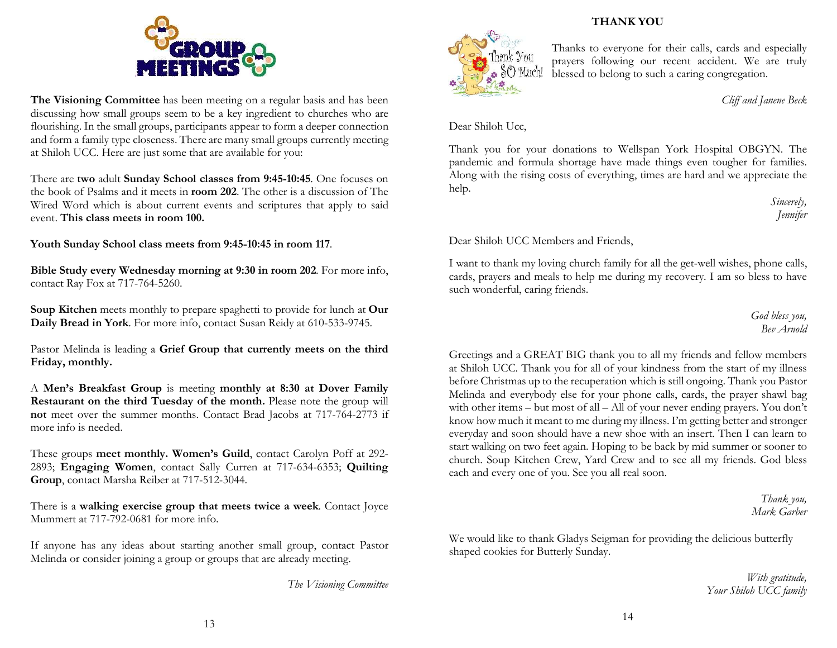

The Visioning Committee has been meeting on a regular basis and has been discussing how small groups seem to be a key ingredient to churches who are flourishing. In the small groups, participants appear to form a deeper connection and form a family type closeness. There are many small groups currently meeting at Shiloh UCC. Here are just some that are available for you:

There are two adult Sunday School classes from 9:45-10:45. One focuses on the book of Psalms and it meets in room 202. The other is a discussion of The Wired Word which is about current events and scriptures that apply to said event. This class meets in room 100.

Youth Sunday School class meets from 9:45-10:45 in room 117.

Bible Study every Wednesday morning at 9:30 in room 202. For more info, contact Ray Fox at 717-764-5260.

Soup Kitchen meets monthly to prepare spaghetti to provide for lunch at Our Daily Bread in York. For more info, contact Susan Reidy at 610-533-9745.

Pastor Melinda is leading a Grief Group that currently meets on the third Friday, monthly.

A Men's Breakfast Group is meeting monthly at 8:30 at Dover Family Restaurant on the third Tuesday of the month. Please note the group will not meet over the summer months. Contact Brad Jacobs at 717-764-2773 if more info is needed.

These groups meet monthly. Women's Guild, contact Carolyn Poff at 292- 2893; Engaging Women, contact Sally Curren at 717-634-6353; Quilting Group, contact Marsha Reiber at 717-512-3044.

There is a walking exercise group that meets twice a week. Contact Joyce Mummert at 717-792-0681 for more info.

If anyone has any ideas about starting another small group, contact Pastor Melinda or consider joining a group or groups that are already meeting.

The Visioning Committee

#### THANK YOU



Thanks to everyone for their calls, cards and especially prayers following our recent accident. We are truly blessed to belong to such a caring congregation.

Cliff and Janene Beck

Dear Shiloh Ucc,

Thank you for your donations to Wellspan York Hospital OBGYN. The pandemic and formula shortage have made things even tougher for families. Along with the rising costs of everything, times are hard and we appreciate the help.

Sincerely, Jennifer

Dear Shiloh UCC Members and Friends,

I want to thank my loving church family for all the get-well wishes, phone calls, cards, prayers and meals to help me during my recovery. I am so bless to have such wonderful, caring friends.

> God bless you, Bev Arnold

Greetings and a GREAT BIG thank you to all my friends and fellow members at Shiloh UCC. Thank you for all of your kindness from the start of my illness before Christmas up to the recuperation which is still ongoing. Thank you Pastor Melinda and everybody else for your phone calls, cards, the prayer shawl bag with other items – but most of all – All of your never ending prayers. You don't know how much it meant to me during my illness. I'm getting better and stronger everyday and soon should have a new shoe with an insert. Then I can learn to start walking on two feet again. Hoping to be back by mid summer or sooner to church. Soup Kitchen Crew, Yard Crew and to see all my friends. God bless each and every one of you. See you all real soon.

> Thank you, Mark Garber

We would like to thank Gladys Seigman for providing the delicious butterfly shaped cookies for Butterly Sunday.

> With gratitude, Your Shiloh UCC family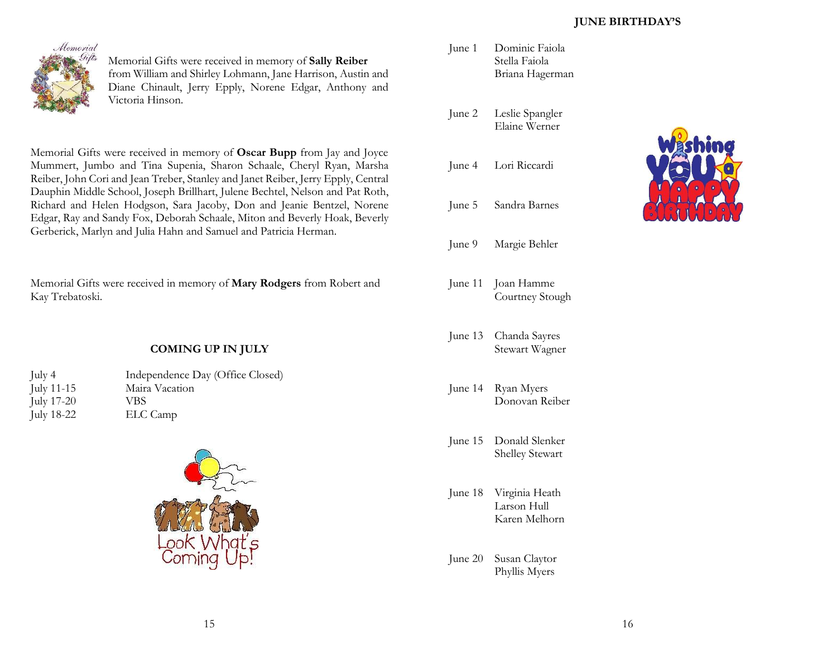### JUNE BIRTHDAY'S



Memorial Gifts were received in memory of Sally Reiber from William and Shirley Lohmann, Jane Harrison, Austin and Diane Chinault, Jerry Epply, Norene Edgar, Anthony and Victoria Hinson.

Memorial Gifts were received in memory of Oscar Bupp from Jay and Joyce Mummert, Jumbo and Tina Supenia, Sharon Schaale, Cheryl Ryan, Marsha Reiber, John Cori and Jean Treber, Stanley and Janet Reiber, Jerry Epply, Central Dauphin Middle School, Joseph Brillhart, Julene Bechtel, Nelson and Pat Roth, Richard and Helen Hodgson, Sara Jacoby, Don and Jeanie Bentzel, Norene Edgar, Ray and Sandy Fox, Deborah Schaale, Miton and Beverly Hoak, Beverly Gerberick, Marlyn and Julia Hahn and Samuel and Patricia Herman.

Memorial Gifts were received in memory of Mary Rodgers from Robert and Kay Trebatoski.

#### COMING UP IN JULY

| July 4     | Independence Day (Office Closed) |
|------------|----------------------------------|
| July 11-15 | Maira Vacation                   |
| July 17-20 | VBS                              |
| July 18-22 | ELC Camp                         |



June 1 Dominic Faiola Stella Faiola Briana Hagerman

June 2 Leslie Spangler Elaine Werner

- June 4 Lori Riccardi
- June 5 Sandra Barnes



June 11 Joan Hamme

Courtney Stough

June 9 Margie Behler

- June 13 Chanda Sayres Stewart Wagner
- June 14 Ryan Myers Donovan Reiber
- June 15 Donald Slenker Shelley Stewart
- June 18 Virginia Heath Larson Hull Karen Melhorn
- June 20 Susan Claytor Phyllis Myers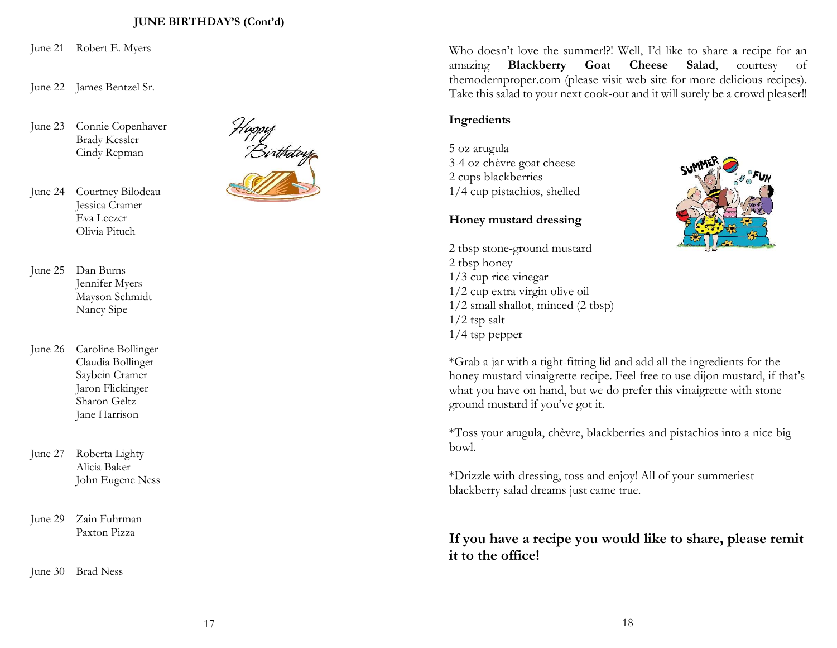### JUNE BIRTHDAY'S (Cont'd)

June 21 Robert E. Myers

June 22 James Bentzel Sr.

June 23 Connie Copenhaver Brady Kessler Cindy Repman



- June 24 Courtney Bilodeau Jessica Cramer Eva Leezer Olivia Pituch
- June 25 Dan Burns Jennifer Myers Mayson Schmidt Nancy Sipe
- June 26 Caroline Bollinger Claudia Bollinger Saybein Cramer Jaron Flickinger Sharon Geltz Jane Harrison
- June 27 Roberta Lighty Alicia Baker John Eugene Ness
- June 29 Zain Fuhrman Paxton Pizza

June 30 Brad Ness

Who doesn't love the summer!?! Well, I'd like to share a recipe for an amazing Blackberry Goat Cheese Salad, courtesy of themodernproper.com (please visit web site for more delicious recipes). Take this salad to your next cook-out and it will surely be a crowd pleaser!!

## Ingredients

5 oz arugula 3-4 oz chèvre goat cheese 2 cups blackberries 1/4 cup pistachios, shelled

## Honey mustard dressing

2 tbsp stone-ground mustard 2 tbsp honey 1/3 cup rice vinegar 1/2 cup extra virgin olive oil 1/2 small shallot, minced (2 tbsp)  $1/2$  tsp salt 1/4 tsp pepper



\*Grab a jar with a tight-fitting lid and add all the ingredients for the honey mustard vinaigrette recipe. Feel free to use dijon mustard, if that's what you have on hand, but we do prefer this vinaigrette with stone ground mustard if you've got it.

\*Toss your arugula, chèvre, blackberries and pistachios into a nice big bowl.

\*Drizzle with dressing, toss and enjoy! All of your summeriest blackberry salad dreams just came true.

# If you have a recipe you would like to share, please remit it to the office!